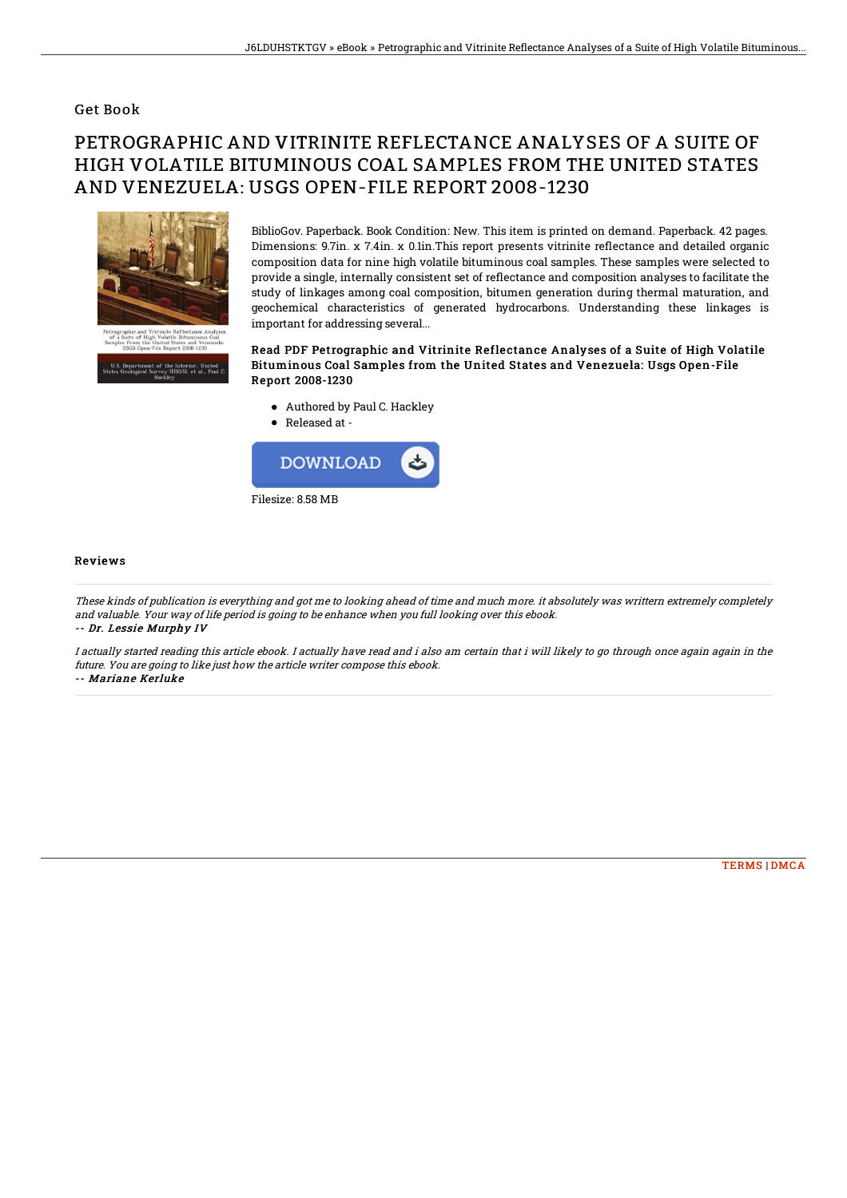## Get Book

## PETROGRAPHIC AND VITRINITE REFLECTANCE ANALYSES OF A SUITE OF HIGH VOLATILE BITUMINOUS COAL SAMPLES FROM THE UNITED STATES AND VENEZUELA: USGS OPEN-FILE REPORT 2008-1230



BiblioGov. Paperback. Book Condition: New. This item is printed on demand. Paperback. 42 pages. Dimensions: 9.7in. x 7.4in. x 0.1in.This report presents vitrinite reflectance and detailed organic composition data for nine high volatile bituminous coal samples. These samples were selected to provide a single, internally consistent set of reflectance and composition analyses to facilitate the study of linkages among coal composition, bitumen generation during thermal maturation, and geochemical characteristics of generated hydrocarbons. Understanding these linkages is important for addressing several...

Read PDF Petrographic and Vitrinite Reflectance Analyses of a Suite of High Volatile Bituminous Coal Samples from the United States and Venezuela: Usgs Open-File Report 2008-1230

- Authored by Paul C. Hackley
- Released at -



## Reviews

These kinds of publication is everything and got me to looking ahead of time and much more. it absolutely was writtern extremely completely and valuable. Your way of life period is going to be enhance when you full looking over this ebook. -- Dr. Lessie Murphy IV

I actually started reading this article ebook. I actually have read and i also am certain that i will likely to go through once again again in the future. You are going to like just how the article writer compose this ebook. -- Mariane Kerluke